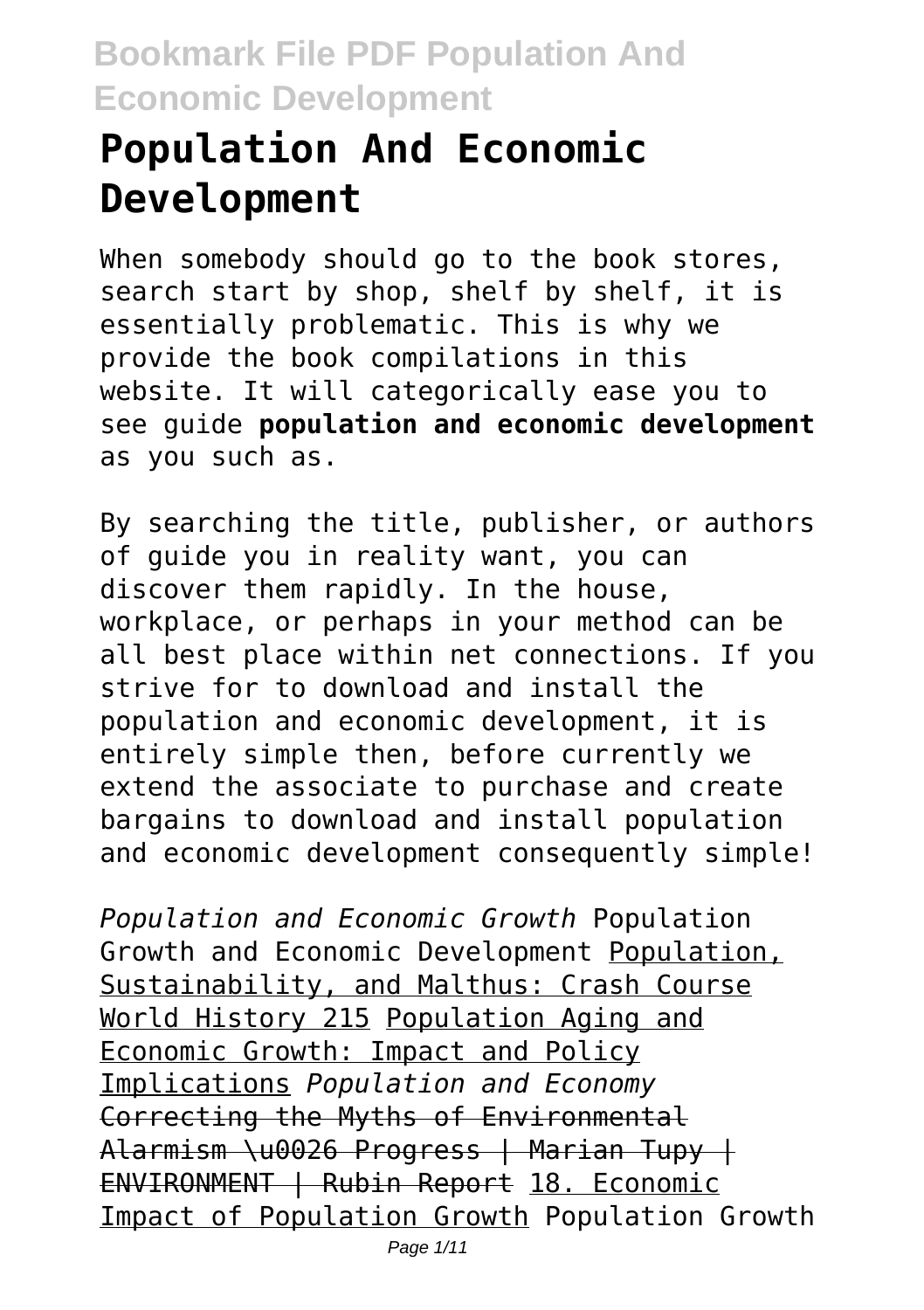# **Population And Economic Development**

When somebody should go to the book stores, search start by shop, shelf by shelf, it is essentially problematic. This is why we provide the book compilations in this website. It will categorically ease you to see guide **population and economic development** as you such as.

By searching the title, publisher, or authors of guide you in reality want, you can discover them rapidly. In the house, workplace, or perhaps in your method can be all best place within net connections. If you strive for to download and install the population and economic development, it is entirely simple then, before currently we extend the associate to purchase and create bargains to download and install population and economic development consequently simple!

*Population and Economic Growth* Population Growth and Economic Development Population, Sustainability, and Malthus: Crash Course World History 215 Population Aging and Economic Growth: Impact and Policy Implications *Population and Economy* Correcting the Myths of Environmental Alarmism \u0026 Progress | Marian Tupy | ENVIRONMENT | Rubin Report 18. Economic Impact of Population Growth Population Growth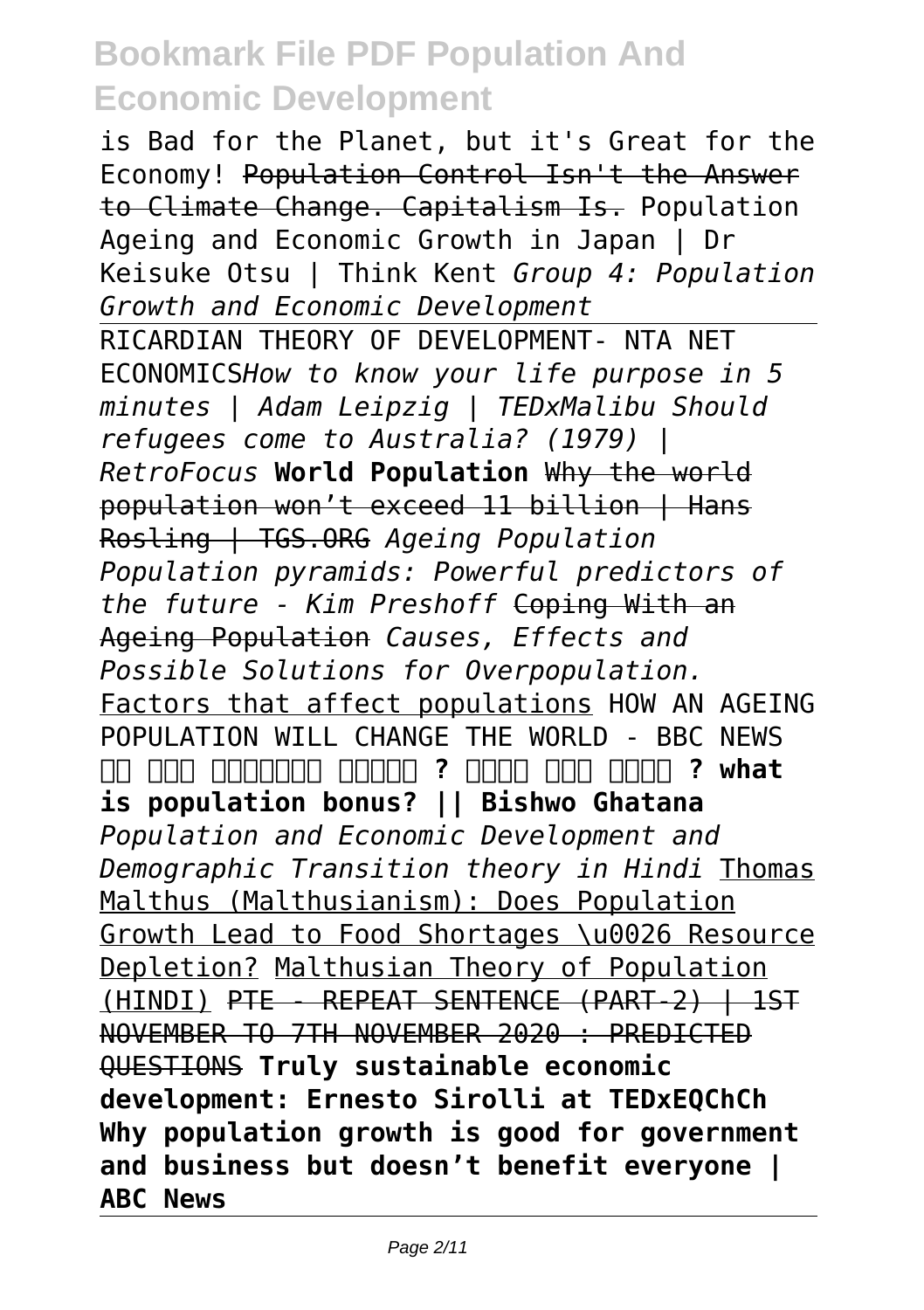is Bad for the Planet, but it's Great for the Economy! Population Control Isn't the Answer to Climate Change. Capitalism Is. Population Ageing and Economic Growth in Japan | Dr Keisuke Otsu | Think Kent *Group 4: Population Growth and Economic Development* RICARDIAN THEORY OF DEVELOPMENT- NTA NET ECONOMICS*How to know your life purpose in 5 minutes | Adam Leipzig | TEDxMalibu Should refugees come to Australia? (1979) | RetroFocus* **World Population** Why the world population won't exceed 11 billion | Hans Rosling | TGS.ORG *Ageing Population Population pyramids: Powerful predictors of the future - Kim Preshoff* Coping With an Ageing Population *Causes, Effects and Possible Solutions for Overpopulation.* Factors that affect populations HOW AN AGEING POPULATION WILL CHANGE THE WORLD - BBC NEWS  $\Box$  **and another and ? and and and ? what is population bonus? || Bishwo Ghatana** *Population and Economic Development and Demographic Transition theory in Hindi* Thomas Malthus (Malthusianism): Does Population Growth Lead to Food Shortages \u0026 Resource Depletion? Malthusian Theory of Population (HINDI) PTE - REPEAT SENTENCE (PART-2) | 1ST NOVEMBER TO 7TH NOVEMBER 2020 : PREDICTED QUESTIONS **Truly sustainable economic development: Ernesto Sirolli at TEDxEQChCh Why population growth is good for government and business but doesn't benefit everyone | ABC News**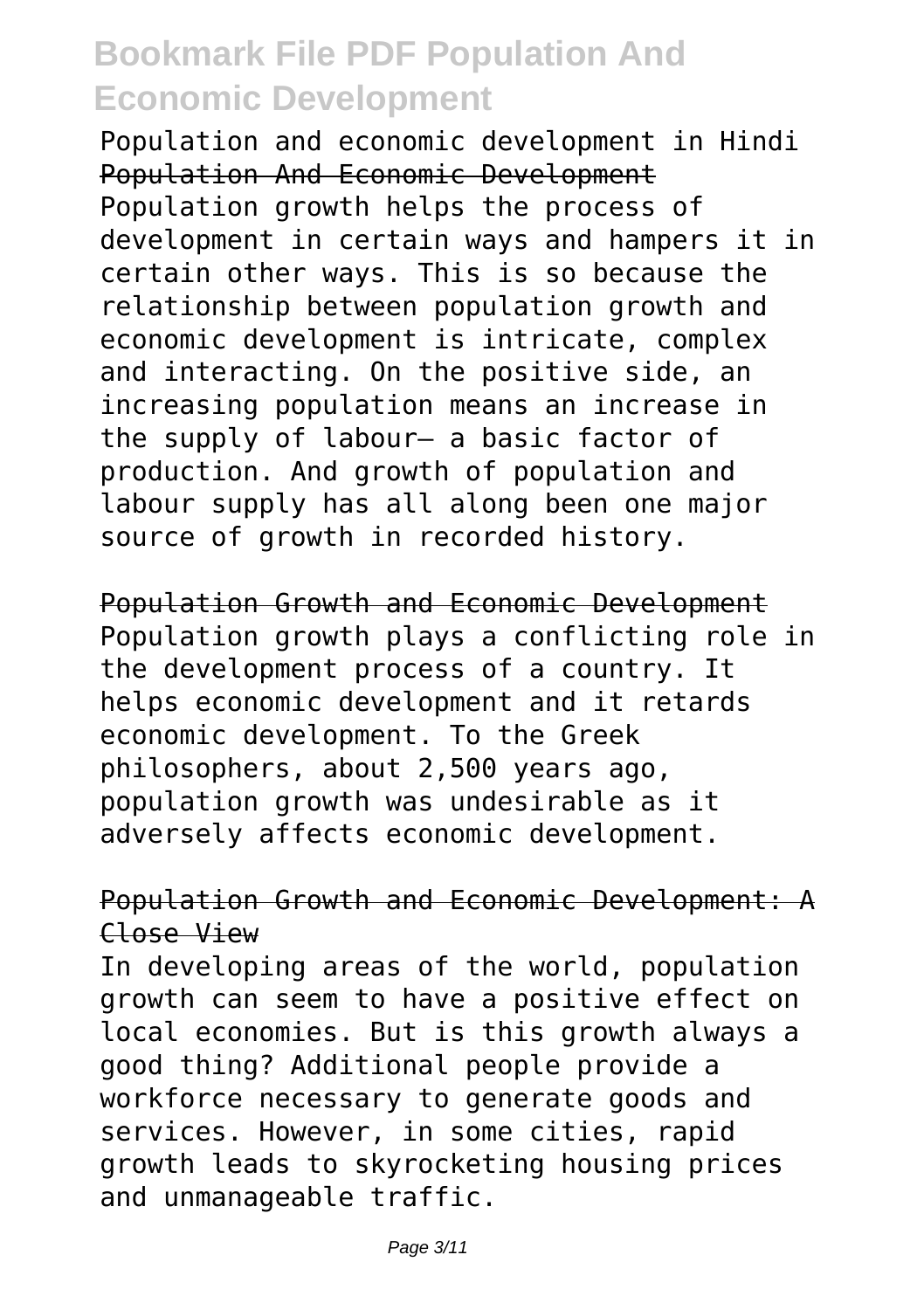Population and economic development in Hindi Population And Economic Development Population growth helps the process of development in certain ways and hampers it in certain other ways. This is so because the relationship between population growth and economic development is intricate, complex and interacting. On the positive side, an increasing population means an increase in the supply of labour— a basic factor of production. And growth of population and labour supply has all along been one major source of growth in recorded history.

Population Growth and Economic Development Population growth plays a conflicting role in the development process of a country. It helps economic development and it retards economic development. To the Greek philosophers, about 2,500 years ago, population growth was undesirable as it adversely affects economic development.

#### Population Growth and Economic Development: A Close View

In developing areas of the world, population growth can seem to have a positive effect on local economies. But is this growth always a good thing? Additional people provide a workforce necessary to generate goods and services. However, in some cities, rapid growth leads to skyrocketing housing prices and unmanageable traffic.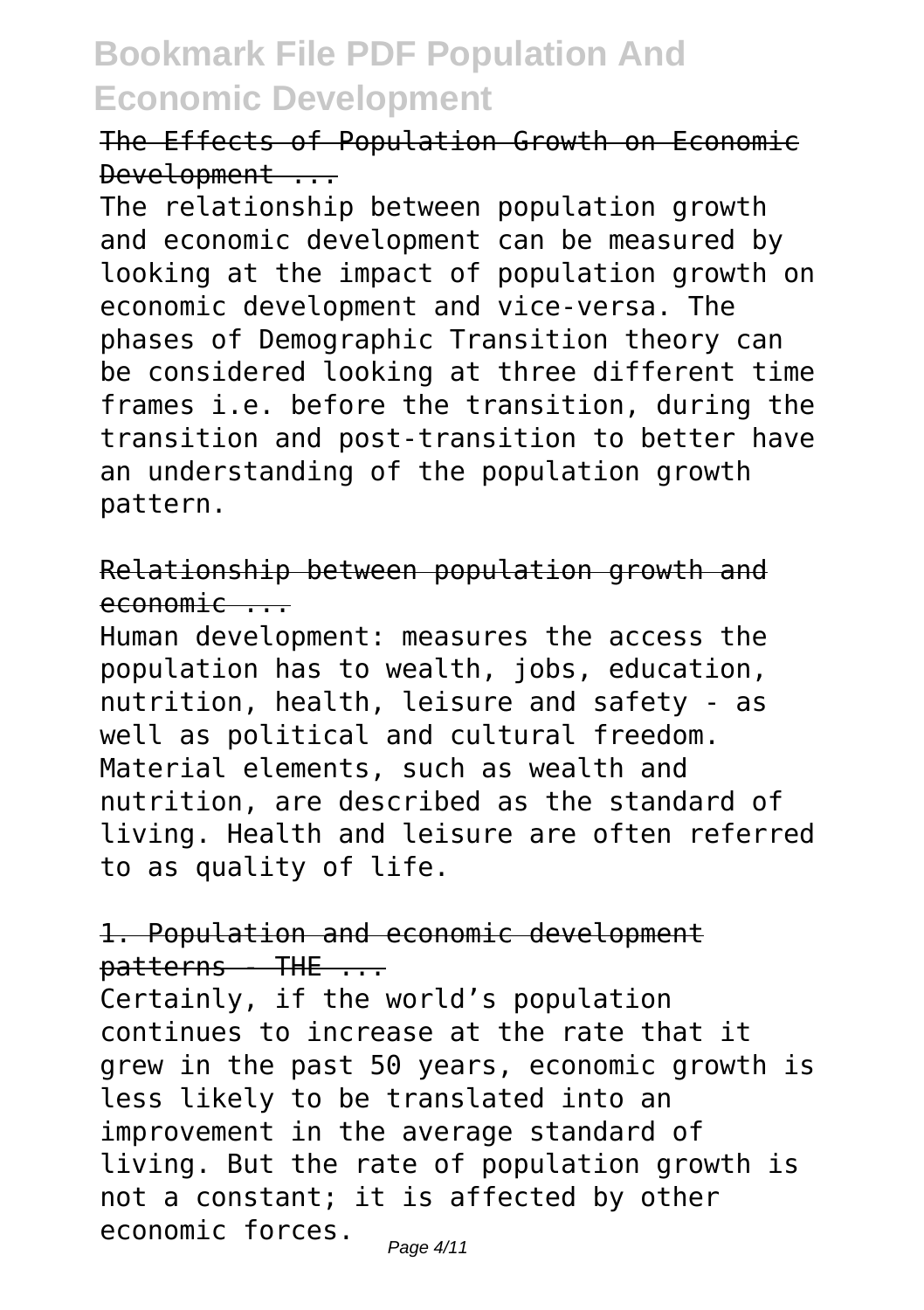The Effects of Population Growth on Economic Development ...

The relationship between population growth and economic development can be measured by looking at the impact of population growth on economic development and vice-versa. The phases of Demographic Transition theory can be considered looking at three different time frames i.e. before the transition, during the transition and post-transition to better have an understanding of the population growth pattern.

Relationship between population growth and economic ...

Human development: measures the access the population has to wealth, jobs, education, nutrition, health, leisure and safety - as well as political and cultural freedom. Material elements, such as wealth and nutrition, are described as the standard of living. Health and leisure are often referred to as quality of life.

#### 1. Population and economic development  $parters - THE ...$

Certainly, if the world's population continues to increase at the rate that it grew in the past 50 years, economic growth is less likely to be translated into an improvement in the average standard of living. But the rate of population growth is not a constant; it is affected by other economic forces.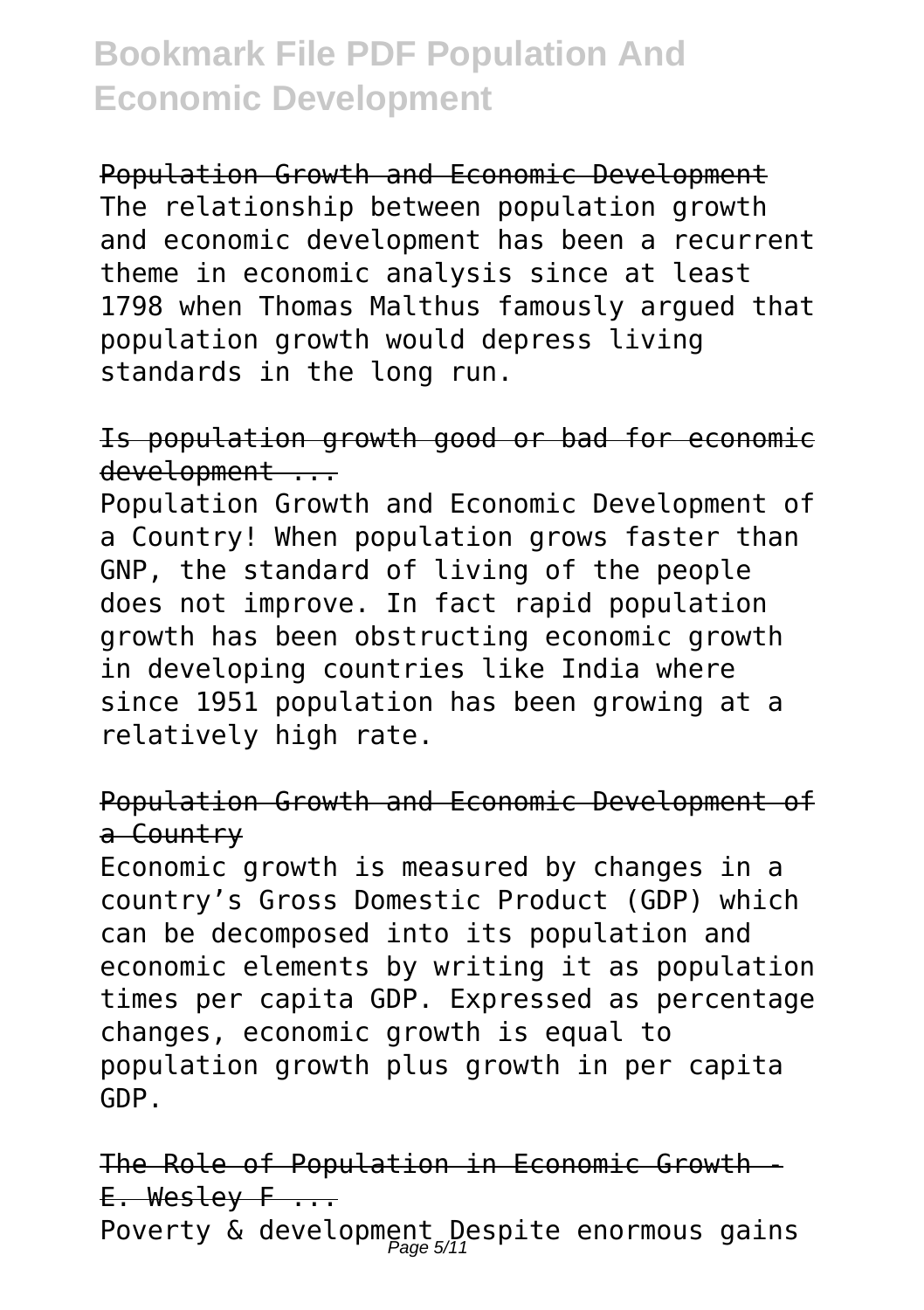Population Growth and Economic Development The relationship between population growth and economic development has been a recurrent theme in economic analysis since at least 1798 when Thomas Malthus famously argued that population growth would depress living standards in the long run.

Is population growth good or bad for economic development ...

Population Growth and Economic Development of a Country! When population grows faster than GNP, the standard of living of the people does not improve. In fact rapid population growth has been obstructing economic growth in developing countries like India where since 1951 population has been growing at a relatively high rate.

#### Population Growth and Economic Development of a Country

Economic growth is measured by changes in a country's Gross Domestic Product (GDP) which can be decomposed into its population and economic elements by writing it as population times per capita GDP. Expressed as percentage changes, economic growth is equal to population growth plus growth in per capita GDP.

The Role of Population in Economic Growth - E. Weslev F ... Poverty & development Despite enormous gains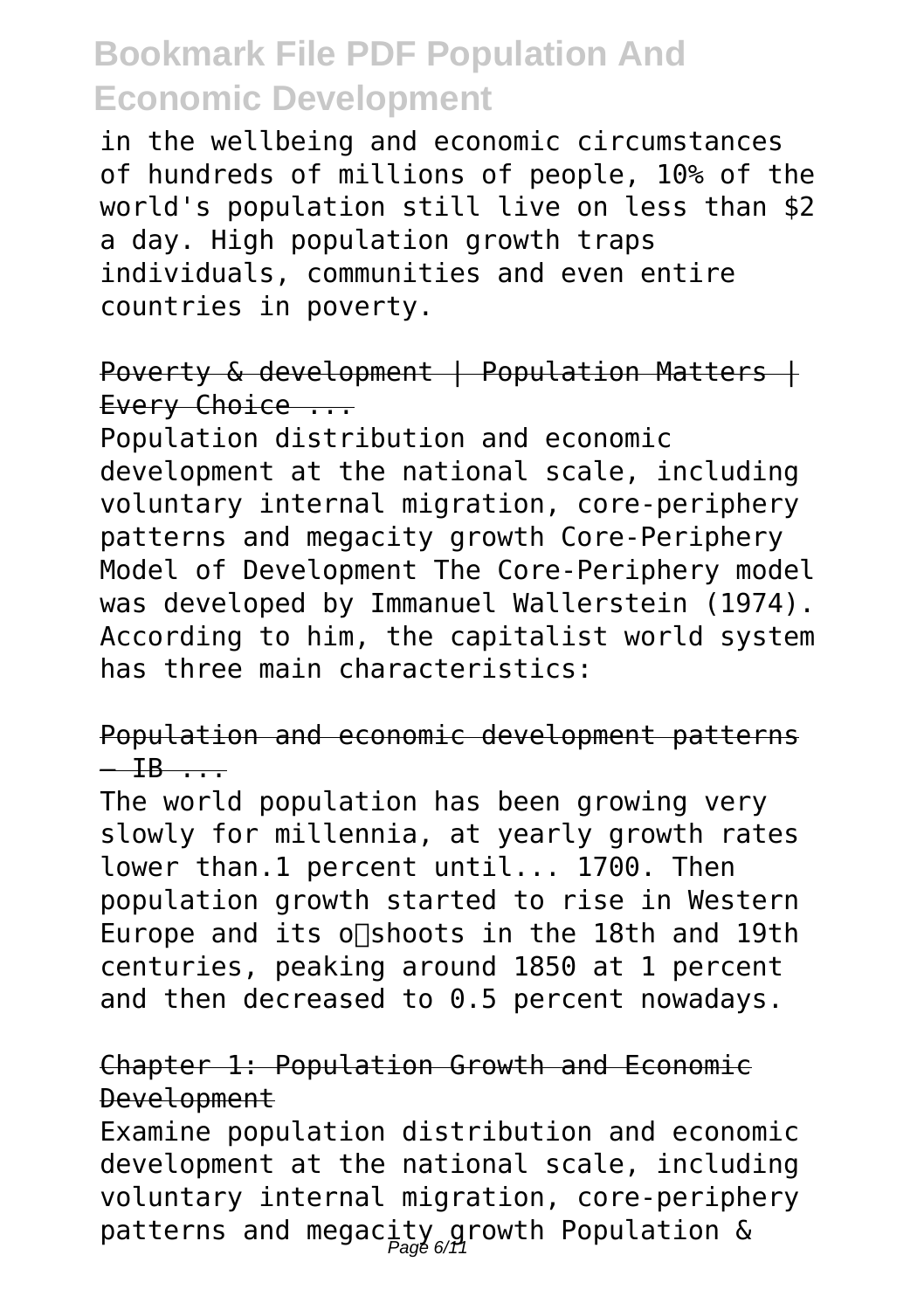in the wellbeing and economic circumstances of hundreds of millions of people, 10% of the world's population still live on less than \$2 a day. High population growth traps individuals, communities and even entire countries in poverty.

Poverty & development | Population Matters | Every Choice ...

Population distribution and economic development at the national scale, including voluntary internal migration, core-periphery patterns and megacity growth Core-Periphery Model of Development The Core-Periphery model was developed by Immanuel Wallerstein (1974). According to him, the capitalist world system has three main characteristics:

#### Population and economic development patterns  $-$  IB  $-$

The world population has been growing very slowly for millennia, at yearly growth rates lower than.1 percent until... 1700. Then population growth started to rise in Western Europe and its o∏shoots in the 18th and 19th centuries, peaking around 1850 at 1 percent and then decreased to 0.5 percent nowadays.

#### Chapter 1: Population Growth and Economic Development

Examine population distribution and economic development at the national scale, including voluntary internal migration, core-periphery patterns and megacity growth Population &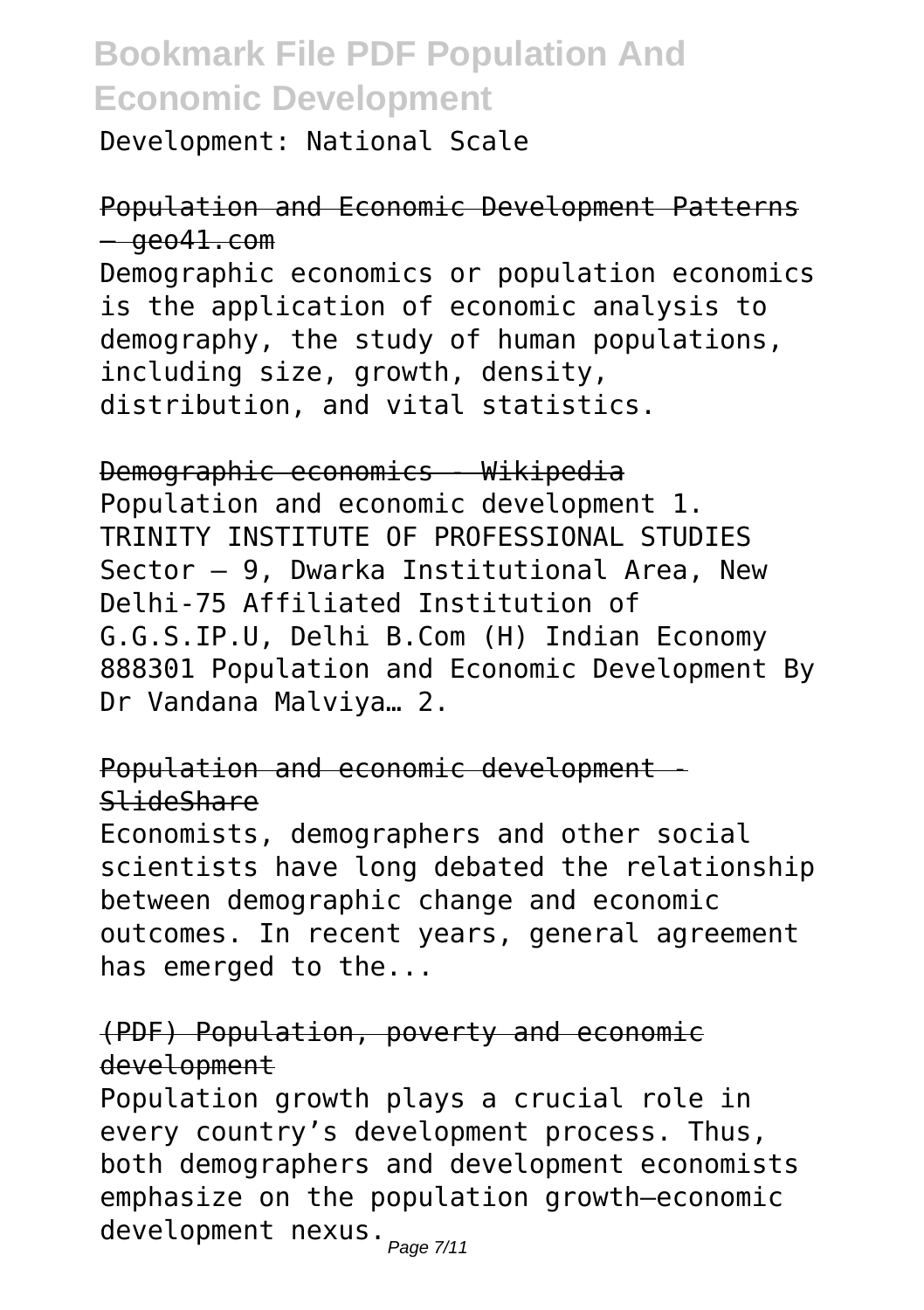Development: National Scale

Population and Economic Development Patterns — geo41.com Demographic economics or population economics is the application of economic analysis to demography, the study of human populations, including size, growth, density, distribution, and vital statistics.

Demographic economics - Wikipedia Population and economic development 1. TRINITY INSTITUTE OF PROFESSIONAL STUDIES Sector – 9, Dwarka Institutional Area, New Delhi-75 Affiliated Institution of G.G.S.IP.U, Delhi B.Com (H) Indian Economy 888301 Population and Economic Development By Dr Vandana Malviya… 2.

Population and economic development - SlideShare

Economists, demographers and other social scientists have long debated the relationship between demographic change and economic outcomes. In recent years, general agreement has emerged to the...

#### (PDF) Population, poverty and economic development

Population growth plays a crucial role in every country's development process. Thus, both demographers and development economists emphasize on the population growth–economic development nexus.<sub>Page 7/11</sub>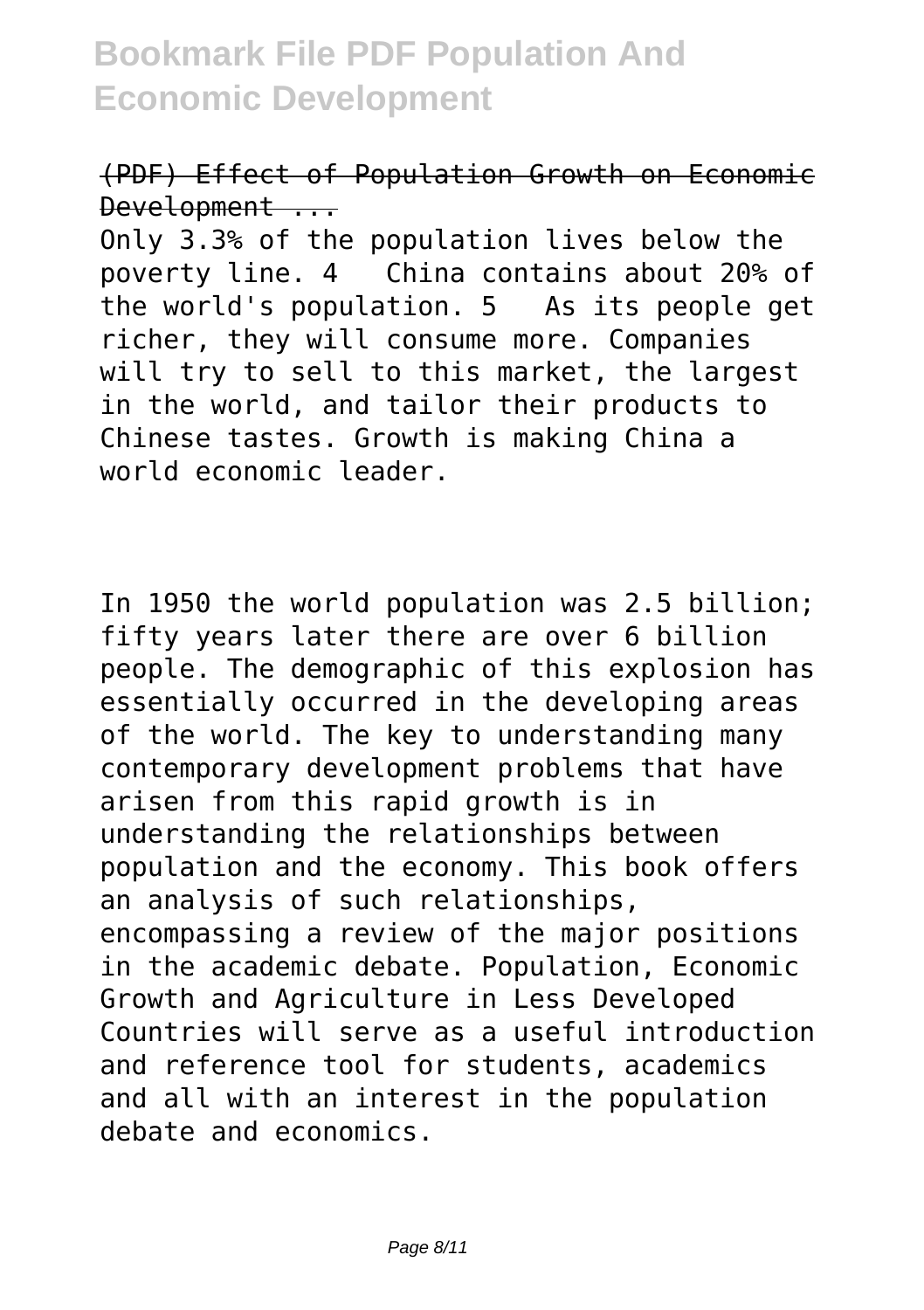#### (PDF) Effect of Population Growth on Economic Development ...

Only 3.3% of the population lives below the poverty line. 4 China contains about 20% of the world's population. 5 As its people get richer, they will consume more. Companies will try to sell to this market, the largest in the world, and tailor their products to Chinese tastes. Growth is making China a world economic leader.

In 1950 the world population was 2.5 billion; fifty years later there are over 6 billion people. The demographic of this explosion has essentially occurred in the developing areas of the world. The key to understanding many contemporary development problems that have arisen from this rapid growth is in understanding the relationships between population and the economy. This book offers an analysis of such relationships, encompassing a review of the major positions in the academic debate. Population, Economic Growth and Agriculture in Less Developed Countries will serve as a useful introduction and reference tool for students, academics and all with an interest in the population debate and economics.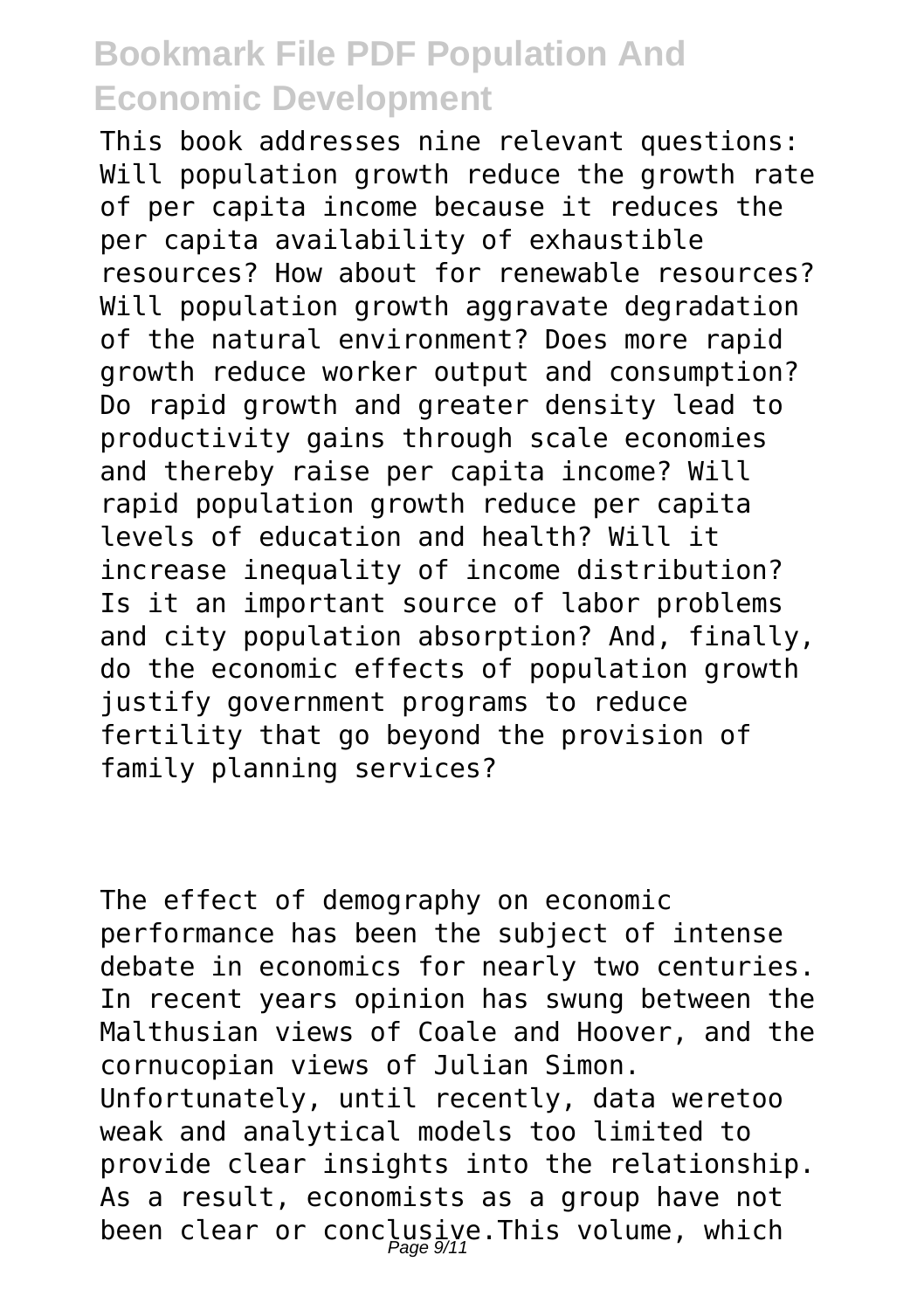This book addresses nine relevant questions: Will population growth reduce the growth rate of per capita income because it reduces the per capita availability of exhaustible resources? How about for renewable resources? Will population growth aggravate degradation of the natural environment? Does more rapid growth reduce worker output and consumption? Do rapid growth and greater density lead to productivity gains through scale economies and thereby raise per capita income? Will rapid population growth reduce per capita levels of education and health? Will it increase inequality of income distribution? Is it an important source of labor problems and city population absorption? And, finally, do the economic effects of population growth justify government programs to reduce fertility that go beyond the provision of family planning services?

The effect of demography on economic performance has been the subject of intense debate in economics for nearly two centuries. In recent years opinion has swung between the Malthusian views of Coale and Hoover, and the cornucopian views of Julian Simon. Unfortunately, until recently, data weretoo weak and analytical models too limited to provide clear insights into the relationship. As a result, economists as a group have not been clear or conclusive.This volume, which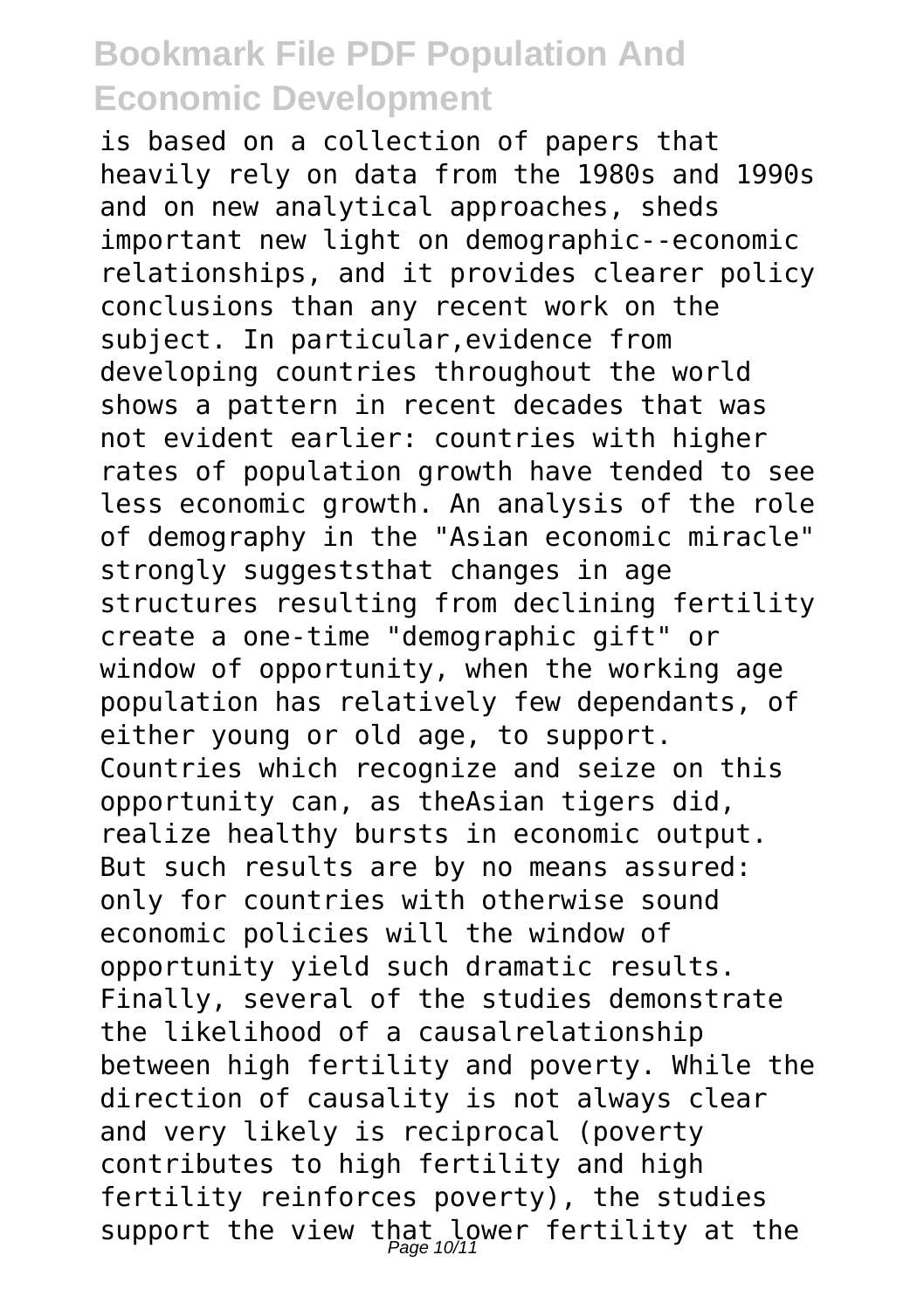is based on a collection of papers that heavily rely on data from the 1980s and 1990s and on new analytical approaches, sheds important new light on demographic--economic relationships, and it provides clearer policy conclusions than any recent work on the subject. In particular,evidence from developing countries throughout the world shows a pattern in recent decades that was not evident earlier: countries with higher rates of population growth have tended to see less economic growth. An analysis of the role of demography in the "Asian economic miracle" strongly suggeststhat changes in age structures resulting from declining fertility create a one-time "demographic gift" or window of opportunity, when the working age population has relatively few dependants, of either young or old age, to support. Countries which recognize and seize on this opportunity can, as theAsian tigers did, realize healthy bursts in economic output. But such results are by no means assured: only for countries with otherwise sound economic policies will the window of opportunity yield such dramatic results. Finally, several of the studies demonstrate the likelihood of a causalrelationship between high fertility and poverty. While the direction of causality is not always clear and very likely is reciprocal (poverty contributes to high fertility and high fertility reinforces poverty), the studies support the view that lower fertility at the